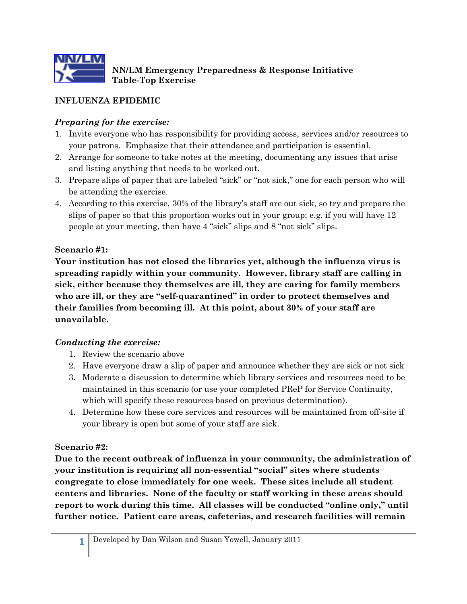

**NN/LM Emergency Preparedness & Response Initiative Table-Top Exercise**

# **INFLUENZA EPIDEMIC**

### *Preparing for the exercise:*

- 1. Invite everyone who has responsibility for providing access, services and/or resources to your patrons. Emphasize that their attendance and participation is essential.
- 2. Arrange for someone to take notes at the meeting, documenting any issues that arise and listing anything that needs to be worked out.
- 3. Prepare slips of paper that are labeled "sick" or "not sick," one for each person who will be attending the exercise.
- 4. According to this exercise, 30% of the library's staff are out sick, so try and prepare the slips of paper so that this proportion works out in your group; e.g. if you will have 12 people at your meeting, then have 4 "sick" slips and 8 "not sick" slips.

#### **Scenario #1:**

**Your institution has not closed the libraries yet, although the influenza virus is spreading rapidly within your community. However, library staff are calling in sick, either because they themselves are ill, they are caring for family members who are ill, or they are "self-quarantined" in order to protect themselves and their families from becoming ill. At this point, about 30% of your staff are unavailable.**

#### *Conducting the exercise:*

- 1. Review the scenario above
- 2. Have everyone draw a slip of paper and announce whether they are sick or not sick
- 3. Moderate a discussion to determine which library services and resources need to be maintained in this scenario (or use your completed PReP for Service Continuity, which will specify these resources based on previous determination).
- 4. Determine how these core services and resources will be maintained from off-site if your library is open but some of your staff are sick.

#### **Scenario #2:**

**Due to the recent outbreak of influenza in your community, the administration of your institution is requiring all non-essential "social" sites where students congregate to close immediately for one week. These sites include all student centers and libraries. None of the faculty or staff working in these areas should report to work during this time. All classes will be conducted "online only," until further notice. Patient care areas, cafeterias, and research facilities will remain**